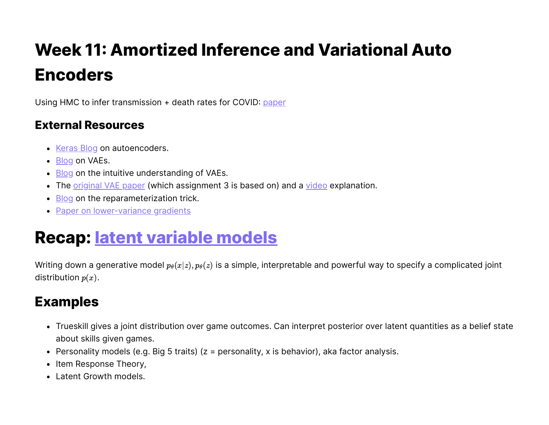# **Week 11: Amortized Inference and Variational Auto Encoders**

Using HMC to infer transmission + death rates for COVID: [paper](https://www.medrxiv.org/content/10.1101/2020.03.04.20031104v1.full.pdf)

#### **External Resources**

- [Keras Blog](https://blog.keras.io/building-autoencoders-in-keras.html) on autoencoders.
- [Blog](https://mohitjain.me/2018/10/26/variational-autoencoder/) on VAEs.
- $\cdot$  [Blog](https://towardsdatascience.com/intuitively-understanding-variational-autoencoders-1bfe67eb5daf) on the intuitive understanding of VAEs.
- The *original VAE paper* (which assignment 3 is based on) and a [video](https://www.youtube.com/watch?time_continue=2&v=9zKuYvjFFS8) explanation.
- [Blog](https://medium.com/@llionj/the-reparameterization-trick-4ff30fe92954) on the reparameterization trick.
- [Paper on lower-variance gradients](http://papers.nips.cc/paper/7268-sticking-the-landing-simple-lower-variance-gradient-estimators-for-variational-inference)

## **Recap: latent [variable](https://en.wikipedia.org/wiki/Latent_variable_model) models**

Writing down a generative model  $p_\theta(x|z), p_\theta(z)$  is a simple, interpretable and powerful way to specify a complicated joint distribution  $p(x)$ .

### **Examples**

- Trueskill gives a joint distribution over game outcomes. Can interpret posterior over latent quantities as a belief state about skills given games.
- **•** Personality models (e.g. Big 5 traits) ( $z =$  personality, x is behavior), aka factor analysis.
- Item Response Theory,
- Latent Growth models.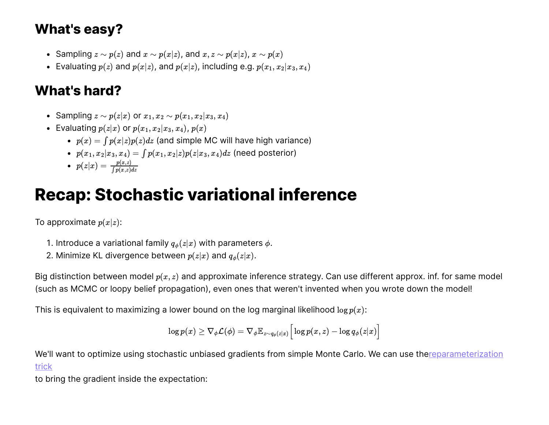## **What's easy?**

- Sampling  $z \sim p(z)$  and  $x \sim p(x|z)$ , and  $x, z \sim p(x|z)$ ,  $x \sim p(x)$
- Evaluating  $p(z)$  and  $p(x|z)$ , and  $p(x|z)$ , including e.g.  $p(x_1, x_2|x_3, x_4)$

## **What's hard?**

- Sampling  $z \sim p(z|x)$  or  $x_1, x_2 \sim p(x_1, x_2|x_3, x_4)$
- Evaluating  $p(z|x)$  or  $p(x_1, x_2|x_3, x_4)$ ,  $p(x)$ 
	- $p(x) = \int p(x|z)p(z)dz$  (and simple MC will have high variance)
	- $p(x_1, x_2 | x_3, x_4) = \int p(x_1, x_2 | z) p(z | x_3, x_4) dz$  (need posterior)
	- $p(z|x) = \frac{p(x,z)}{\int p(x,z)}$  $\int p(x,z)dz$

## **Recap: Stochastic variational inference**

To approximate  $p(x|z)$ :

- 1. Introduce a variational family  $q_{\phi}(z|x)$  with parameters  $\phi$ .
- 2. Minimize KL divergence between  $p(z|x)$  and  $q_{\phi}(z|x)$ .

Big distinction between model  $p(x, z)$  and approximate inference strategy. Can use different approx. inf. for same model (such as MCMC or loopy belief propagation), even ones that weren't invented when you wrote down the model!

This is equivalent to maximizing a lower bound on the log marginal likelihood  $\log p(x)$ :

$$
\log p(x) \geq \nabla_\phi \mathcal{L}(\phi) = \nabla_\phi \mathbb{E}_{z \sim q_\phi(z|x)} \Big[ \log p(x,z) - \log q_\phi(z|x) \Big]
$$

[We'll want to optimize using stochastic unbiased gradients from simple Monte Carlo.](https://medium.com/@llionj/the-reparameterization-trick-4ff30fe92954) We can use thereparameterization trick

to bring the gradient inside the expectation: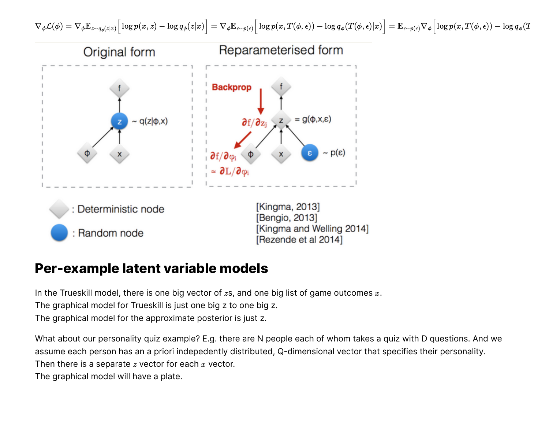



#### **Per-example latent variable models**

In the Trueskill model, there is one big vector of  $z$ s, and one big list of game outcomes  $\overline{x}.$ 

The graphical model for Trueskill is just one big z to one big z.

The graphical model for the approximate posterior is just z.

What about our personality quiz example? E.g. there are N people each of whom takes a quiz with D questions. And we assume each person has an a priori indepedently distributed, Q-dimensional vector that specifies their personality. Then there is a separate  $z$  vector for each  $x$  vector.

The graphical model will have a plate.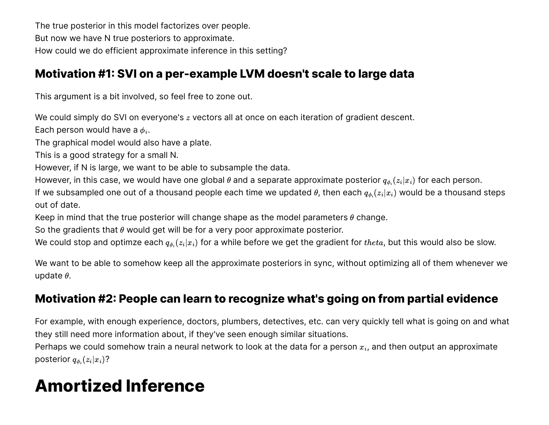The true posterior in this model factorizes over people. But now we have N true posteriors to approximate. How could we do efficient approximate inference in this setting?

#### **Motivation #1: SVI on a per-example LVM doesn't scale to large data**

This argument is a bit involved, so feel free to zone out.

We could simply do SVI on everyone's  $z$  vectors all at once on each iteration of gradient descent.

Each person would have a  $\phi_i.$ 

The graphical model would also have a plate.

This is a good strategy for a small N.

However, if N is large, we want to be able to subsample the data.

However, in this case, we would have one global  $\theta$  and a separate approximate posterior  $q_{\phi_i}(z_i|x_i)$  for each person.

If we subsampled one out of a thousand people each time we updated  $\theta$ , then each  $q_{\phi_i}(z_i|x_i)$  would be a thousand steps out of date.

Keep in mind that the true posterior will change shape as the model parameters  $\theta$  change.

So the gradients that  $\theta$  would get will be for a very poor approximate posterior.

We could stop and optimze each  $q_{\phi_i}(z_i|x_i)$  for a while before we get the gradient for  $theta$ , but this would also be slow.

We want to be able to somehow keep all the approximate posteriors in sync, without optimizing all of them whenever we update  $\theta$ .

#### **Motivation #2: People can learn to recognize what's going on from partial evidence**

For example, with enough experience, doctors, plumbers, detectives, etc. can very quickly tell what is going on and what they still need more information about, if they've seen enough similar situations.

Perhaps we could somehow train a neural network to look at the data for a person  $x_i$ , and then output an approximate posterior  $q_{\phi_i}(z_i | x_i)$ ?

## **Amortized Inference**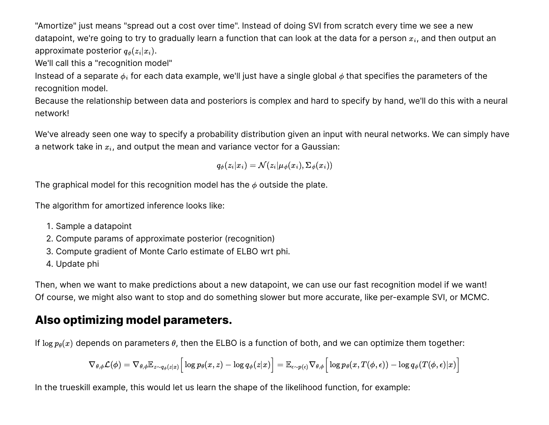"Amortize" just means "spread out a cost over time". Instead of doing SVI from scratch every time we see a new datapoint, we're going to try to gradually learn a function that can look at the data for a person  $x_i$ , and then output an approximate posterior  $q_{\phi}(z_i | x_i).$ 

We'll call this a "recognition model"

Instead of a separate  $\phi_i$  for each data example, we'll just have a single global  $\phi$  that specifies the parameters of the recognition model.

Because the relationship between data and posteriors is complex and hard to specify by hand, we'll do this with a neural network!

We've already seen one way to specify a probability distribution given an input with neural networks. We can simply have a network take in  $x_i$ , and output the mean and variance vector for a Gaussian:

 $q_{\phi}(z_i|x_i) = \mathcal{N}(z_i|\mu_{\phi}(x_i), \Sigma_{\phi}(x_i))$ 

The graphical model for this recognition model has the  $\phi$  outside the plate.

The algorithm for amortized inference looks like:

- 1. Sample a datapoint
- 2. Compute params of approximate posterior (recognition)
- 3. Compute gradient of Monte Carlo estimate of ELBO wrt phi.
- 4. Update phi

Then, when we want to make predictions about a new datapoint, we can use our fast recognition model if we want! Of course, we might also want to stop and do something slower but more accurate, like per-example SVI, or MCMC.

#### **Also optimizing model parameters.**

If  $\log p_\theta(x)$  depends on parameters  $\theta$ , then the ELBO is a function of both, and we can optimize them together:

$$
\nabla_{\theta,\phi}\mathcal{L}(\phi) = \nabla_{\theta,\phi} \mathbb{E}_{z\sim q_\phi(z|x)} \Big[\log p_\theta(x,z) - \log q_\phi(z|x) \Big] = \mathbb{E}_{\epsilon\sim p(\epsilon)} \nabla_{\theta,\phi} \Big[\log p_\theta(x,T(\phi,\epsilon)) - \log q_\phi(T(\phi,\epsilon)|x) \Big]
$$

In the trueskill example, this would let us learn the shape of the likelihood function, for example: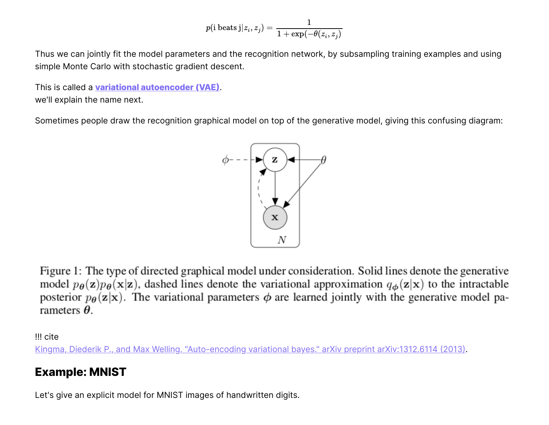$$
p(\text{i beats j}|z_i, z_j) = \frac{1}{1+\exp(-\theta(z_i, z_j)}
$$

Thus we can jointly fit the model parameters and the recognition network, by subsampling training examples and using simple Monte Carlo with stochastic gradient descent.

This is called a **variational [autoencoder](https://en.wikipedia.org/wiki/Autoencoder#Variational_autoencoder_(VAE)) (VAE)**. we'll explain the name next.

Sometimes people draw the recognition graphical model on top of the generative model, giving this confusing diagram:



Figure 1: The type of directed graphical model under consideration. Solid lines denote the generative model  $p_{\theta}(\mathbf{z})p_{\theta}(\mathbf{x}|\mathbf{z})$ , dashed lines denote the variational approximation  $q_{\phi}(\mathbf{z}|\mathbf{x})$  to the intractable posterior  $p_{\theta}(\mathbf{z}|\mathbf{x})$ . The variational parameters  $\phi$  are learned jointly with the generative model parameters  $\theta$ .

!!! cite

[Kingma, Diederik P., and Max Welling. "Auto-encoding variational bayes." arXiv preprint arXiv:1312.6114](https://arxiv.org/abs/1312.6114) (2013).

#### **Example: MNIST**

Let's give an explicit model for MNIST images of handwritten digits.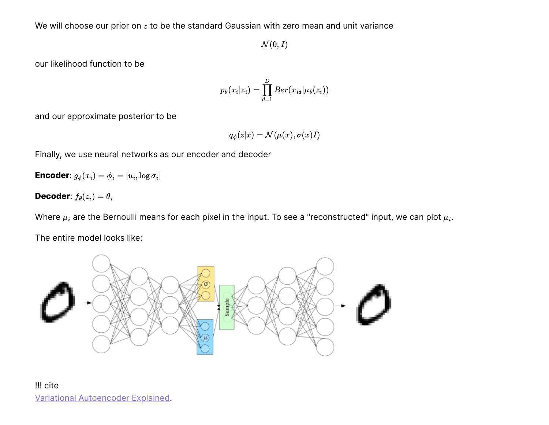We will choose our prior on  $z$  to be the standard Gaussian with zero mean and unit variance

 $\mathcal{N}(0,I)$ 

our likelihood function to be

$$
p_{\theta}(x_i|z_i) = \prod_{d=1}^D Ber(x_{id}|\mu_{\theta}(z_i))
$$

and our approximate posterior to be

$$
q_{\phi}(z|x) = \mathcal{N}(\mu(x), \sigma(x)I)
$$

Finally, we use neural networks as our encoder and decoder

**Encoder**:  $g_{\phi}(x_i) = \phi_i = [u_i, \log \sigma_i]$ 

**Decoder**:  $f_{\theta}(z_i) = \theta_i$ 

Where  $\mu_i$  are the Bernoulli means for each pixel in the input. To see a "reconstructed" input, we can plot  $\mu_i.$ 

The entire model looks like:

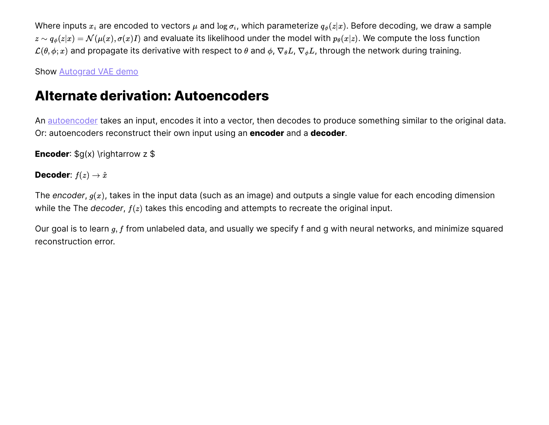Where inputs  $x_i$  are encoded to vectors  $\mu$  and  $\log\sigma_i$ , which parameterize  $q_\phi(z|x)$ . Before decoding, we draw a sample  $z\sim q_\phi(z|x)=\mathcal{N}(\mu(x),\sigma(x)I)$  and evaluate its likelihood under the model with  $p_\theta(x|z).$  We compute the loss function  $\mathcal{L}(\theta,\phi;x)$  and propagate its derivative with respect to  $\theta$  and  $\phi$ ,  $\nabla_\theta L$ ,  $\nabla_\phi L$ , through the network during training.

Show **Autograd VAE** demo

### **Alternate derivation: Autoencoders**

An [autoencoder](https://en.wikipedia.org/wiki/Autoencoder) takes an input, encodes it into a vector, then decodes to produce something similar to the original data. Or: autoencoders reconstruct their own input using an **encoder** and a **decoder**.

**Encoder:**  $\sqrt{g(x)}$  \rightarrow z  $\sqrt{s}$ 

**Decoder**:  $f(z) \rightarrow \hat{x}$ 

The *encoder,*  $g(x)$ *,* takes in the input data (such as an image) and outputs a single value for each encoding dimension while the The *decoder,*  $f(z)$  takes this encoding and attempts to recreate the original input.

Our goal is to learn  $g, f$  from unlabeled data, and usually we specify f and g with neural networks, and minimize squared reconstruction error.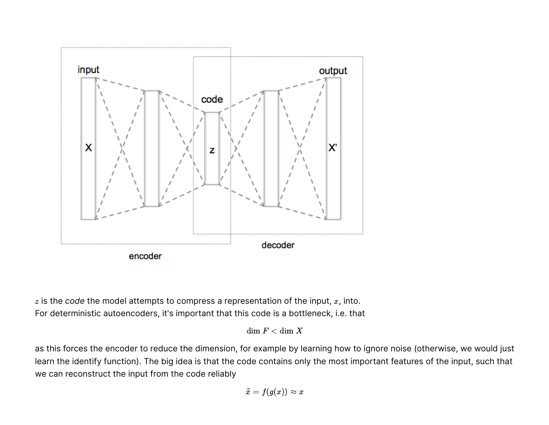

 $z$  is the  $\it code$  the model attempts to compress a representation of the input,  $x$ , into. For deterministic autoencoders, it's important that this code is a bottleneck, i.e. that

 $dim F < dim X$ 

as this forces the encoder to reduce the dimension, for example by learning how to ignore noise (otherwise, we would just learn the identify function). The big idea is that the code contains only the most important features of the input, such that we can reconstruct the input from the code reliably

$$
\tilde{x} = f(g(x)) \approx x
$$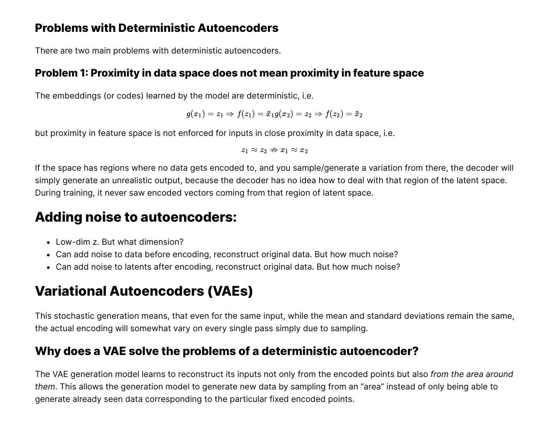#### **Problems with Deterministic Autoencoders**

There are two main problems with deterministic autoencoders.

#### **Problem 1: Proximity in data space does not mean proximity in feature space**

The embeddings (or codes) learned by the model are deterministic, i.e.

$$
g(x_1)=z_1\Rightarrow f(z_1)=\tilde{x}_1g(x_2)=z_2\Rightarrow f(z_2)=\tilde{x}_2
$$

but proximity in feature space is not enforced for inputs in close proximity in data space, i.e.

$$
z_1\approx z_2 \nRightarrow x_1\approx x_2
$$

If the space has regions where no data gets encoded to, and you sample/generate a variation from there, the decoder will simply generate an unrealistic output, because the decoder has no idea how to deal with that region of the latent space. During training, it never saw encoded vectors coming from that region of latent space.

### **Adding noise to autoencoders:**

- Low-dim z. But what dimension?
- Can add noise to data before encoding, reconstruct original data. But how much noise?
- Can add noise to latents after encoding, reconstruct original data. But how much noise?

## **Variational Autoencoders (VAEs)**

This stochastic generation means, that even for the same input, while the mean and standard deviations remain the same, the actual encoding will somewhat vary on every single pass simply due to sampling.

#### **Why does a VAE solve the problems of a deterministic autoencoder?**

The VAE generation model learns to reconstruct its inputs not only from the encoded points but also *from the area around them*. This allows the generation model to generate new data by sampling from an "area" instead of only being able to generate already seen data corresponding to the particular fixed encoded points.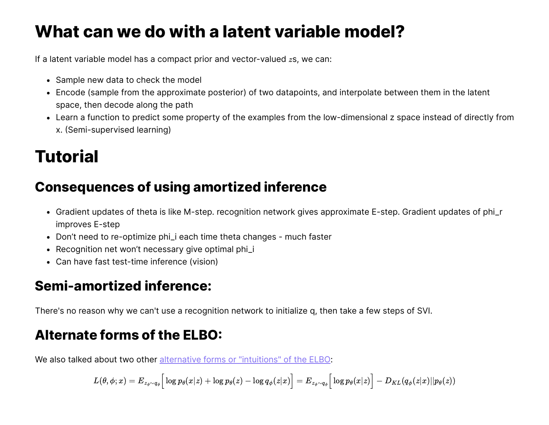## **What can we do with a latent variable model?**

If a latent variable model has a compact prior and vector-valued  $z$ s, we can:

- Sample new data to check the model
- Encode (sample from the approximate posterior) of two datapoints, and interpolate between them in the latent space, then decode along the path
- Learn a function to predict some property of the examples from the low-dimensional z space instead of directly from x. (Semi-supervised learning)

## **Tutorial**

## **Consequences of using amortized inference**

- Gradient updates of theta is like M-step. recognition network gives approximate E-step. Gradient updates of phi\_r improves E-step
- Don't need to re-optimize phi\_i each time theta changes much faster
- Recognition net won't necessary give optimal phi\_i
- Can have fast test-time inference (vision)

## **Semi-amortized inference:**

There's no reason why we can't use a recognition network to initialize q, then take a few steps of SVI.

## **Alternate forms of the ELBO:**

We also talked about two other alternative forms or "intuitions" of the ELBO:

$$
L(\theta,\phi;x)=E_{z_{\phi}\sim q_{\phi}}\Big[\log p_{\theta}(x|z)+\log p_{\theta}(z)-\log q_{\phi}(z|x)\Big]=E_{z_{\phi}\sim q_{\phi}}\Big[\log p_{\theta}(x|z)\Big]-D_{KL}(q_{\phi}(z|x)||p_{\theta}(z))
$$